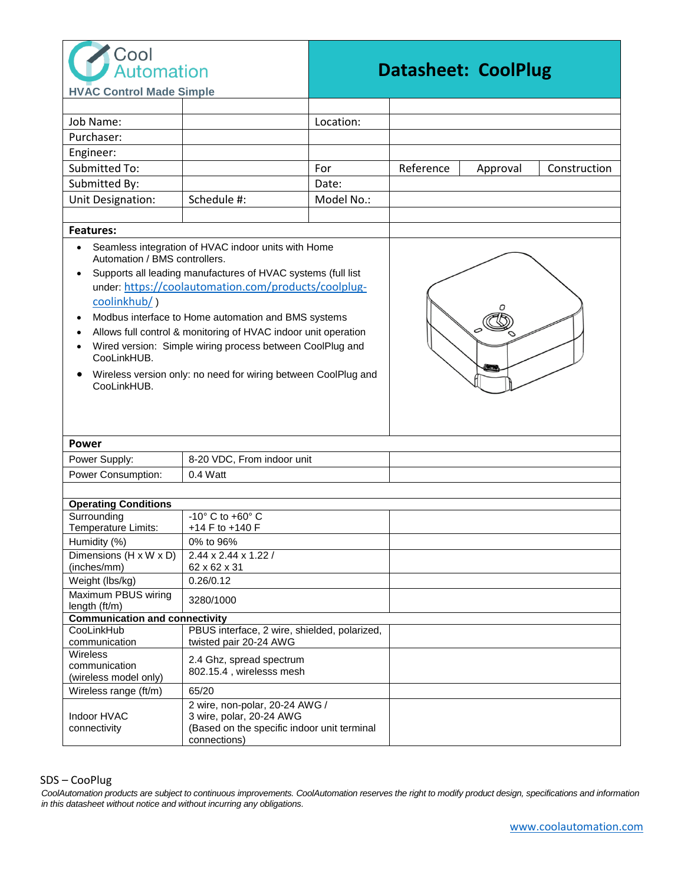

## **Datasheet: CoolPlug**

| Automation                                                                                                                                                                                                                                                                                                                                                                                                                                                               |                                                                         | Datasneet: CoolPlug |                                       |
|--------------------------------------------------------------------------------------------------------------------------------------------------------------------------------------------------------------------------------------------------------------------------------------------------------------------------------------------------------------------------------------------------------------------------------------------------------------------------|-------------------------------------------------------------------------|---------------------|---------------------------------------|
| <b>HVAC Control Made Simple</b>                                                                                                                                                                                                                                                                                                                                                                                                                                          |                                                                         |                     |                                       |
|                                                                                                                                                                                                                                                                                                                                                                                                                                                                          |                                                                         |                     |                                       |
| Job Name:                                                                                                                                                                                                                                                                                                                                                                                                                                                                |                                                                         | Location:           |                                       |
| Purchaser:                                                                                                                                                                                                                                                                                                                                                                                                                                                               |                                                                         |                     |                                       |
| Engineer:                                                                                                                                                                                                                                                                                                                                                                                                                                                                |                                                                         |                     |                                       |
| Submitted To:                                                                                                                                                                                                                                                                                                                                                                                                                                                            |                                                                         | For                 | Reference<br>Construction<br>Approval |
| Submitted By:                                                                                                                                                                                                                                                                                                                                                                                                                                                            |                                                                         | Date:               |                                       |
| Unit Designation:                                                                                                                                                                                                                                                                                                                                                                                                                                                        | Schedule #:                                                             | Model No.:          |                                       |
|                                                                                                                                                                                                                                                                                                                                                                                                                                                                          |                                                                         |                     |                                       |
| <b>Features:</b>                                                                                                                                                                                                                                                                                                                                                                                                                                                         |                                                                         |                     |                                       |
| Automation / BMS controllers.<br>Supports all leading manufactures of HVAC systems (full list<br>$\bullet$<br>under: https://coolautomation.com/products/coolplug-<br>coolinkhub/)<br>Modbus interface to Home automation and BMS systems<br>Allows full control & monitoring of HVAC indoor unit operation<br>Wired version: Simple wiring process between CoolPlug and<br>CooLinkHUB.<br>Wireless version only: no need for wiring between CoolPlug and<br>CooLinkHUB. |                                                                         |                     |                                       |
| Power                                                                                                                                                                                                                                                                                                                                                                                                                                                                    |                                                                         |                     |                                       |
| Power Supply:                                                                                                                                                                                                                                                                                                                                                                                                                                                            | 8-20 VDC, From indoor unit                                              |                     |                                       |
| Power Consumption:                                                                                                                                                                                                                                                                                                                                                                                                                                                       | 0.4 Watt                                                                |                     |                                       |
|                                                                                                                                                                                                                                                                                                                                                                                                                                                                          |                                                                         |                     |                                       |
| <b>Operating Conditions</b>                                                                                                                                                                                                                                                                                                                                                                                                                                              |                                                                         |                     |                                       |
| Surrounding<br>Temperature Limits:                                                                                                                                                                                                                                                                                                                                                                                                                                       | $-10^\circ$ C to $+60^\circ$ C<br>+14 F to +140 F                       |                     |                                       |
| Humidity (%)                                                                                                                                                                                                                                                                                                                                                                                                                                                             | 0% to 96%                                                               |                     |                                       |
| Dimensions (H x W x D)                                                                                                                                                                                                                                                                                                                                                                                                                                                   | 2.44 x 2.44 x 1.22 /                                                    |                     |                                       |
| (inches/mm)                                                                                                                                                                                                                                                                                                                                                                                                                                                              | 62 x 62 x 31                                                            |                     |                                       |
| Weight (lbs/kg)                                                                                                                                                                                                                                                                                                                                                                                                                                                          | 0.26/0.12                                                               |                     |                                       |
| Maximum PBUS wiring<br>length (ft/m)                                                                                                                                                                                                                                                                                                                                                                                                                                     | 3280/1000                                                               |                     |                                       |
| <b>Communication and connectivity</b>                                                                                                                                                                                                                                                                                                                                                                                                                                    |                                                                         |                     |                                       |
| CooLinkHub                                                                                                                                                                                                                                                                                                                                                                                                                                                               | PBUS interface, 2 wire, shielded, polarized,                            |                     |                                       |
| communication<br>Wireless                                                                                                                                                                                                                                                                                                                                                                                                                                                | twisted pair 20-24 AWG                                                  |                     |                                       |
| communication                                                                                                                                                                                                                                                                                                                                                                                                                                                            | 2.4 Ghz, spread spectrum                                                |                     |                                       |
| (wireless model only)                                                                                                                                                                                                                                                                                                                                                                                                                                                    | 802.15.4, wirelesss mesh                                                |                     |                                       |
| Wireless range (ft/m)                                                                                                                                                                                                                                                                                                                                                                                                                                                    | 65/20                                                                   |                     |                                       |
|                                                                                                                                                                                                                                                                                                                                                                                                                                                                          | 2 wire, non-polar, 20-24 AWG /                                          |                     |                                       |
| Indoor HVAC<br>connectivity                                                                                                                                                                                                                                                                                                                                                                                                                                              | 3 wire, polar, 20-24 AWG<br>(Based on the specific indoor unit terminal |                     |                                       |
|                                                                                                                                                                                                                                                                                                                                                                                                                                                                          | connections)                                                            |                     |                                       |

SDS – CooPlug

CoolAutomation products are subject to continuous improvements. CoolAutomation reserves the right to modify product design, specifications and information *in this datasheet without notice and without incurring any obligations.*